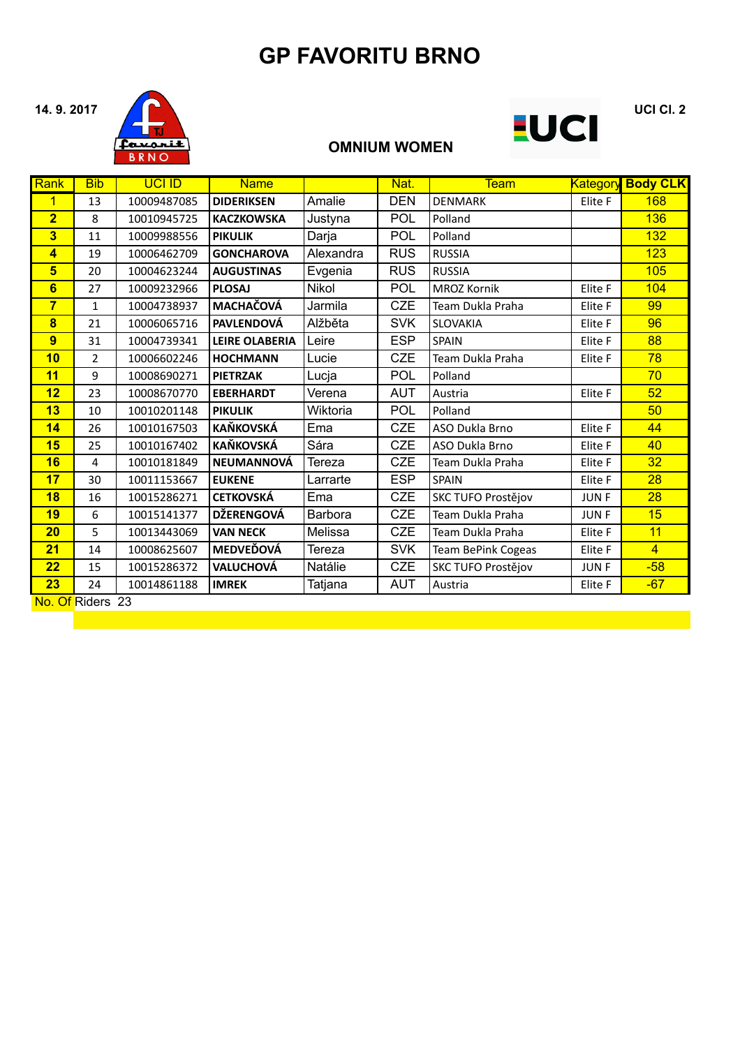## **GP FAVORITU BRNO**



### **OMNIUM WOMEN**